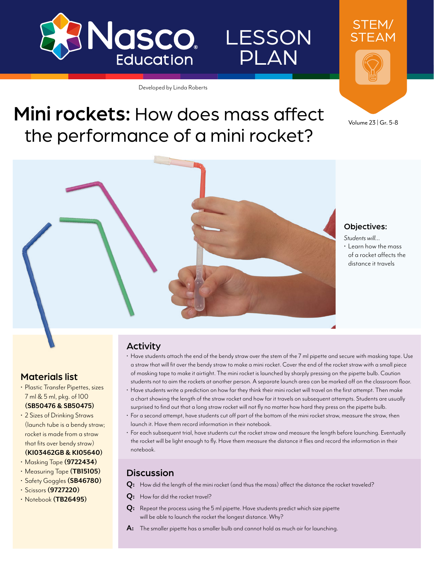

# LESSON PLAN

Developed by Linda Roberts

## Mini rockets: How does mass affect the performance of a mini rocket?



Volume 23 | Gr. 5-8



#### *Students will…*

• Learn how the mass of a rocket affects the distance it travels

### Activity

Materials list

• Scissors **([9727220\)](http://www.enasco.com/p/9727220)** • Notebook **([TB26495](http://www.enasco.com/p/TB26495))**

• Plastic Transfer Pipettes, sizes 7 ml & 5 ml, pkg. of 100 **([SB50476](http://www.enasco.com/p/SB50476) & [SB50475](http://www.enasco.com/p/SB50475))** • 2 Sizes of Drinking Straws (launch tube is a bendy straw; rocket is made from a straw that fits over bendy straw) **(KI03462GB & KI05640)** • Masking Tape **[\(9722434](http://www.enasco.com/p/9722434))** • Measuring Tape **[\(TB15105](http://www.enasco.com/p/TB15105))** • Safety Goggles **([SB46780\)](http://www.enasco.com/p/SB46780)**

- Have students attach the end of the bendy straw over the stem of the 7 ml pipette and secure with masking tape. Use a straw that will fit over the bendy straw to make a mini rocket. Cover the end of the rocket straw with a small piece of masking tape to make it airtight. The mini rocket is launched by sharply pressing on the pipette bulb. Caution students not to aim the rockets at another person. A separate launch area can be marked off on the classroom floor.
- Have students write a prediction on how far they think their mini rocket will travel on the first attempt. Then make a chart showing the length of the straw rocket and how far it travels on subsequent attempts. Students are usually surprised to find out that a long straw rocket will not fly no matter how hard they press on the pipette bulb.
- For a second attempt, have students cut off part of the bottom of the mini rocket straw, measure the straw, then launch it. Have them record information in their notebook.
- For each subsequent trial, have students cut the rocket straw and measure the length before launching. Eventually the rocket will be light enough to fly. Have them measure the distance it flies and record the information in their notebook.

#### Discussion

- **Q:** How did the length of the mini rocket (and thus the mass) affect the distance the rocket traveled?
- **Q:** How far did the rocket travel?
- **Q:** Repeat the process using the 5 ml pipette. Have students predict which size pipette will be able to launch the rocket the longest distance. Why?
- **A:** The smaller pipette has a smaller bulb and cannot hold as much air for launching.